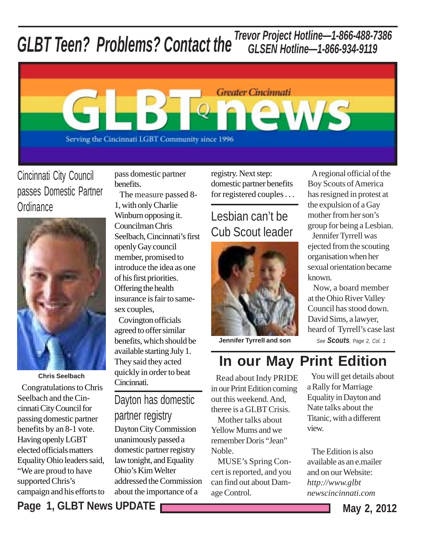# *GLBT Teen? Problems? Contact the Trevor Project Hotline—1-866-488-7386 GLSEN Hotline—1-866-934-9119*



Cincinnati City Council passes Domestic Partner **Ordinance** 



 Congratulations to Chris Seelbach and the Cincinnati City Council for passing domestic partner benefits by an 8-1 vote. Having openly LGBT elected officials matters Equality Ohio leaders said, "We are proud to have supported Chris's campaign and his efforts to **Chris Seelbach**

pass domestic partner benefits.

 The measure passed 8- 1, with only Charlie Winburn opposing it. Councilman Chris Seelbach, Cincinnati's first openly Gay council member, promised to introduce the idea as one of his first priorities. Offering the health insurance is fair to samesex couples,

 Covington officials agreed to offer similar benefits, which should be available starting July 1. They said they acted quickly in order to beat Cincinnati.

### Dayton has domestic partner registry

Dayton City Commission unanimously passed a domestic partner registry law tonight, and Equality Ohio's Kim Welter addressed the Commission about the importance of a

registry. Next step: domestic partner benefits for registered couples . . .

#### Lesbian can't be Cub Scout leader



**Jennifer Tyrrell and son** *See Scouts, Page 2, Col. 1*

### **In our May Print Edition**

known.

 Read about Indy PRIDE in our Print Edition coming out this weekend. And, theree is a GLBT Crisis. Mother talks about Yellow Mums and we remember Doris "Jean" Noble.

 MUSE's Spring Concert is reported, and you can find out about Damage Control.

 You will get details about a Rally for Marriage Equality in Dayton and Nate talks about the Titanic, with a different view.

 A regional official of the Boy Scouts of America has resigned in protest at the expulsion of a Gay mother from her son's group for being a Lesbian. Jennifer Tyrrell was ejected from the scouting organisation when her sexual orientation became

 Now, a board member at the Ohio River Valley Council has stood down. David Sims, a lawyer, heard of Tyrrell's case last

 The Edition is also available as an e.mailer and on our Website: *http://www.glbtnewscincinnati.com*

**Page 1, GLBT News UPDATE May 2, 2012** May 2, 2012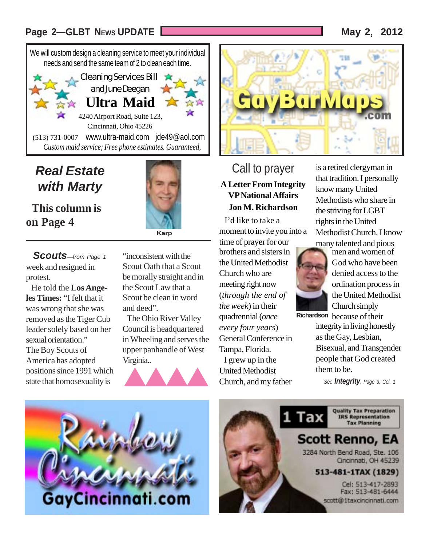#### **Page 2—GLBT NEWS UPDATE May 2, 2012 May 2, 2012**



### *Real Estate with Marty*

 **This column is on Page 4**



week and resigned in protest. *Scouts—from Page 1*

 He told the **Los Angeles Times:** "I felt that it was wrong that she was removed as the Tiger Cub leader solely based on her sexual orientation." The Boy Scouts of America has adopted positions since 1991 which state that homosexuality is

"inconsistent with the Scout Oath that a Scout be morally straight and in the Scout Law that a Scout be clean in word and deed".

 The Ohio River Valley Council is headquartered in Wheeling and serves the upper panhandle of West Virginia..





#### **A Letter From Integrity** Call to prayer **VP National Affairs Jon M. Richardson**

 I'd like to take a moment to invite you into a

time of prayer for our brothers and sisters in the United Methodist Church who are meeting right now (*through the end of the week*) in their quadrennial (*once every four years*) General Conference in Tampa, Florida. I grew up in the

United Methodist Church, and my father is a retired clergyman in that tradition. I personally know many United Methodists who share in the striving for LGBT rights in the United Methodist Church. I know many talented and pious



men and women of God who have been denied access to the ordination process in the United Methodist Church simply

**Richardson** because of their integrity in living honestly as the Gay, Lesbian, Bisexual, and Transgender people that God created

*See Integrity, Page 3, Col. 1*



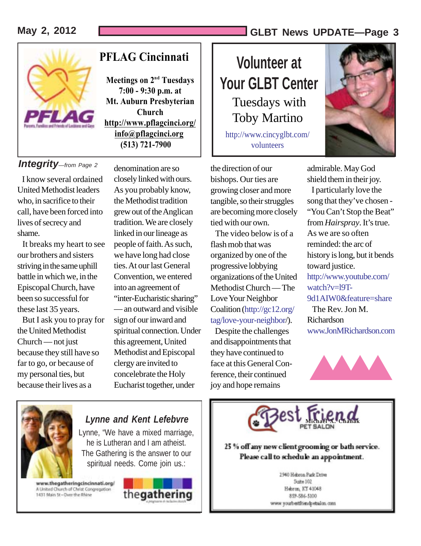#### **May 2, 2012 GLBT News UPDATE—Page 3**



#### *Integrity—from Page 2*

 I know several ordained United Methodist leaders who, in sacrifice to their call, have been forced into lives of secrecy and shame.

 It breaks my heart to see our brothers and sisters striving in the same uphill battle in which we, in the Episcopal Church, have been so successful for these last 35 years.

 But I ask you to pray for the United Methodist Church — not just because they still have so far to go, or because of my personal ties, but because their lives as a

denomination are so closely linked with ours. As you probably know, the Methodist tradition grew out of the Anglican tradition. We are closely linked in our lineage as people of faith. As such, we have long had close ties. At our last General Convention, we entered into an agreement of "inter-Eucharistic sharing" — an outward and visible sign of our inward and spiritual connection. Under this agreement, United Methodist and Episcopal clergy are invited to concelebrate the Holy Eucharist together, under

**Meetings on 2<sup>nd</sup> Tuesdays 7:00 - 9:30 p.m. at Mt. Auburn Presbyterian Church http://www.pflagcinci.org/ info@pflagcinci.org (513) 721-7900**

# **Volunteer at Your GLBT Center** Tuesdays with Toby Martino

http://www.cincyglbt.com/ volunteers

the direction of our bishops. Our ties are growing closer and more tangible, so their struggles are becoming more closely tied with our own.

 The video below is of a flash mob that was organized by one of the progressive lobbying organizations of the United Methodist Church — The Love Your Neighbor Coalition (http://gc12.org/ tag/love-your-neighbor/).

 Despite the challenges and disappointments that they have continued to face at this General Conference, their continued joy and hope remains



admirable. May God shield them in their joy. I particularly love the song that they've chosen - "You Can't Stop the Beat" from *Hairspray*. It's true. As we are so often reminded: the arc of history is long, but it bends toward justice. http://www.youtube.com/ watch?v=l9T-9d1AIW0&feature=share The Rev. Jon M. Richardson www.JonMRichardson.com





#### *Lynne and Kent Lefebvre*

Lynne, "We have a mixed marriage, he is Lutheran and I am atheist. The Gathering is the answer to our spiritual needs. Come join us.:

www.thegatheringcincinnati.org/ A United Church of Christ Congregation 1431 Main St - Over the Rhine





25 % off any new client grooming or bath service. Please call to schedule an appointment.

> 2940 Hebron Park Drive Suite 102 Hebron, KY 41048 859-586-5100 www.youtbetfriendpetalon.com